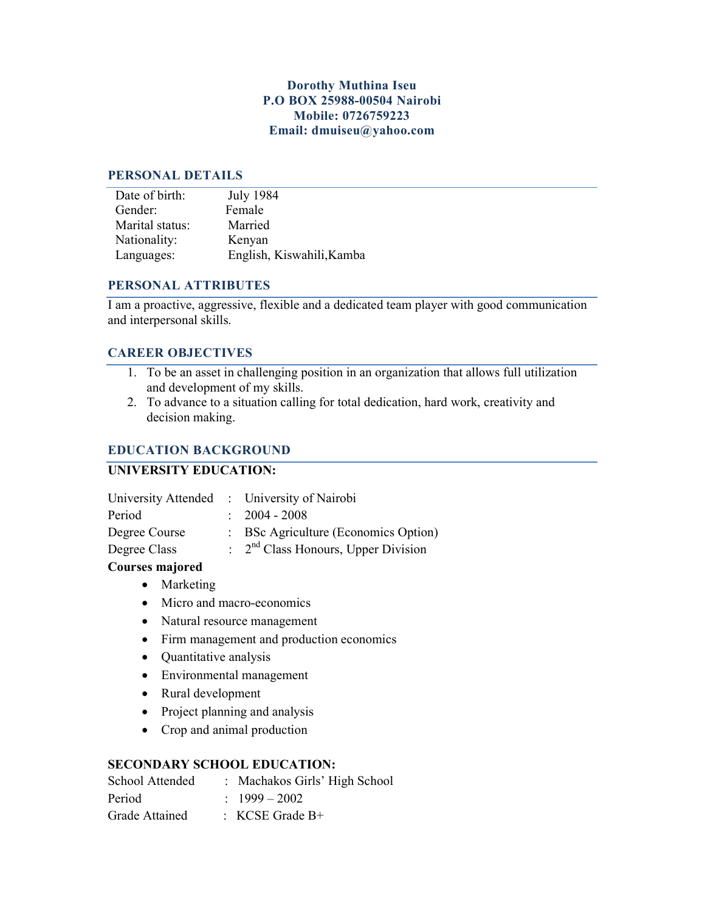## **Dorothy Muthina Iseu P.O BOX 25988-00504 Nairobi Mobile: 0726759223 Email: dmuiseu@yahoo.com**

#### **PERSONAL DETAILS**

| Date of birth:  | <b>July 1984</b>          |
|-----------------|---------------------------|
| Gender:         | Female                    |
| Marital status: | Married                   |
| Nationality:    | Kenyan                    |
| Languages:      | English, Kiswahili, Kamba |

## **PERSONAL ATTRIBUTES**

I am a proactive, aggressive, flexible and a dedicated team player with good communication and interpersonal skills.

## **CAREER OBJECTIVES**

- 1. To be an asset in challenging position in an organization that allows full utilization and development of my skills.
- 2. To advance to a situation calling for total dedication, hard work, creativity and decision making.

## **EDUCATION BACKGROUND**

# **UNIVERSITY EDUCATION:**

|               | University Attended : University of Nairobi                |
|---------------|------------------------------------------------------------|
| Period        | $\therefore$ 2004 - 2008                                   |
| Degree Course | : BSc Agriculture (Economics Option)                       |
| Degree Class  | $\therefore$ 2 <sup>nd</sup> Class Honours, Upper Division |

## **Courses majored**

- Marketing
- Micro and macro-economics
- Natural resource management
- Firm management and production economics
- Quantitative analysis
- Environmental management
- Rural development
- Project planning and analysis
- Crop and animal production

## **SECONDARY SCHOOL EDUCATION:**

| School Attended | : Machakos Girls' High School |
|-----------------|-------------------------------|
| Period          | $1999 - 2002$                 |
| Grade Attained  | $\therefore$ KCSE Grade B+    |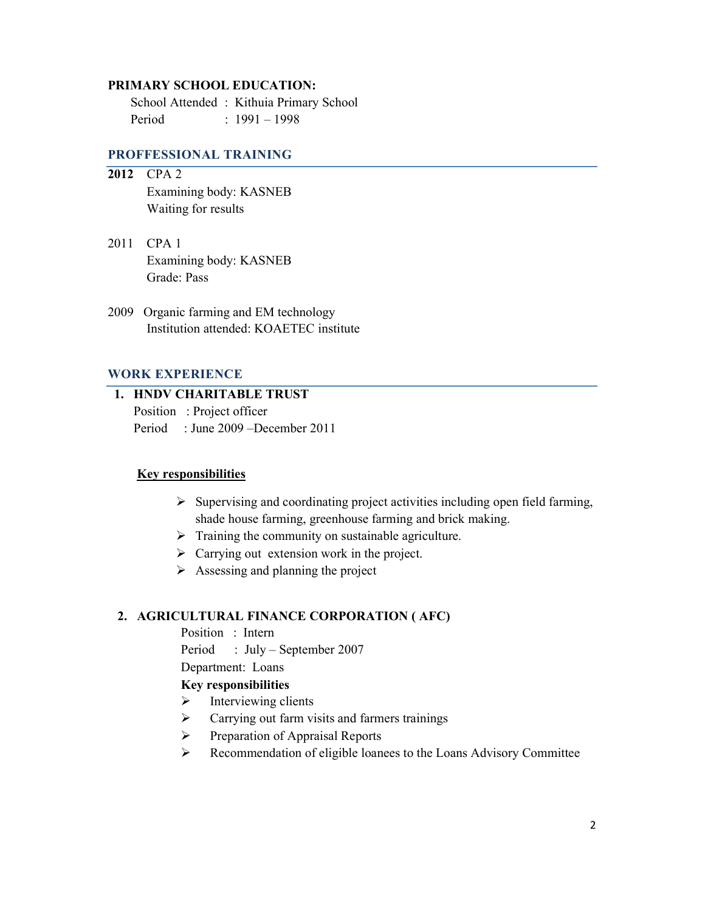#### **PRIMARY SCHOOL EDUCATION:**

 School Attended : Kithuia Primary School Period : 1991 – 1998

### **PROFFESSIONAL TRAINING**

- **2012** CPA 2 Examining body: KASNEB Waiting for results
- 2011 CPA 1 Examining body: KASNEB Grade: Pass
- 2009 Organic farming and EM technology Institution attended: KOAETEC institute

### **WORK EXPERIENCE**

# **1. HNDV CHARITABLE TRUST**

Position : Project officer Period : June 2009 –December 2011

#### **Key responsibilities**

- $\triangleright$  Supervising and coordinating project activities including open field farming, shade house farming, greenhouse farming and brick making.
- $\triangleright$  Training the community on sustainable agriculture.
- $\triangleright$  Carrying out extension work in the project.
- $\triangleright$  Assessing and planning the project

### **2. AGRICULTURAL FINANCE CORPORATION ( AFC)**

Position : Intern

Period : July – September 2007

Department: Loans

#### **Key responsibilities**

- $\triangleright$  Interviewing clients
- $\triangleright$  Carrying out farm visits and farmers trainings
- $\triangleright$  Preparation of Appraisal Reports
- Recommendation of eligible loanees to the Loans Advisory Committee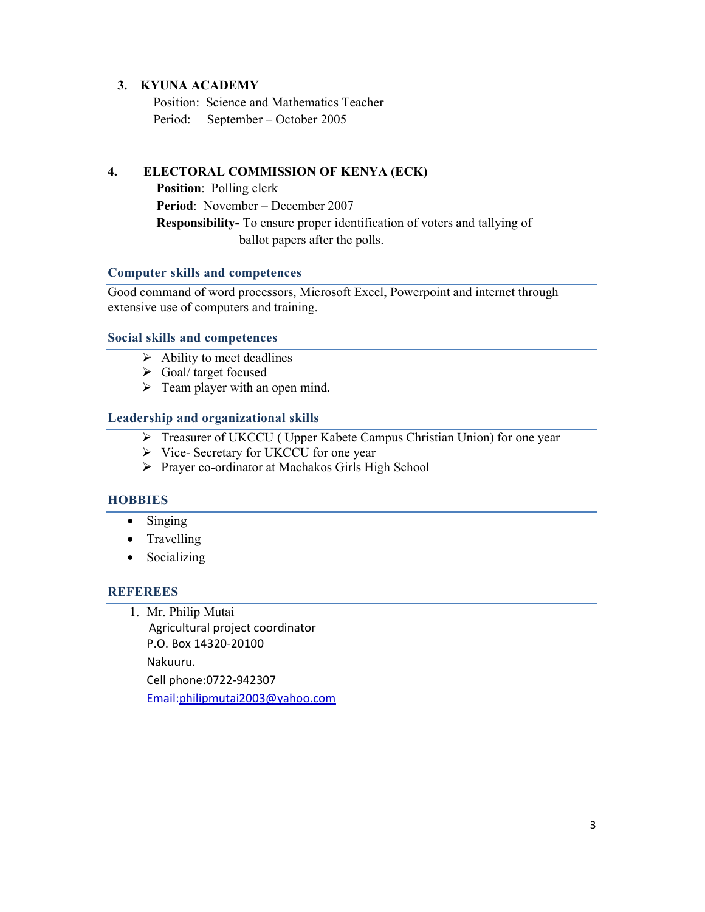### **3. KYUNA ACADEMY**

 Position: Science and Mathematics Teacher Period: September – October 2005

## **4. ELECTORAL COMMISSION OF KENYA (ECK)**

 **Position**: Polling clerk **Period**: November – December 2007  **Responsibility-** To ensure proper identification of voters and tallying of ballot papers after the polls.

### **Computer skills and competences**

Good command of word processors, Microsoft Excel, Powerpoint and internet through extensive use of computers and training.

### **Social skills and competences**

- $\triangleright$  Ability to meet deadlines
- $\triangleright$  Goal/ target focused
- $\triangleright$  Team player with an open mind.

## **Leadership and organizational skills**

- ▶ Treasurer of UKCCU ( Upper Kabete Campus Christian Union) for one year
- $\triangleright$  Vice- Secretary for UKCCU for one year
- Prayer co-ordinator at Machakos Girls High School

## **HOBBIES**

- Singing
- Travelling
- Socializing

## **REFEREES**

1. Mr. Philip Mutai

 Agricultural project coordinator P.O. Box 14320-20100 Nakuuru. Cell phone:0722-942307 Email:philipmutai2003@yahoo.com